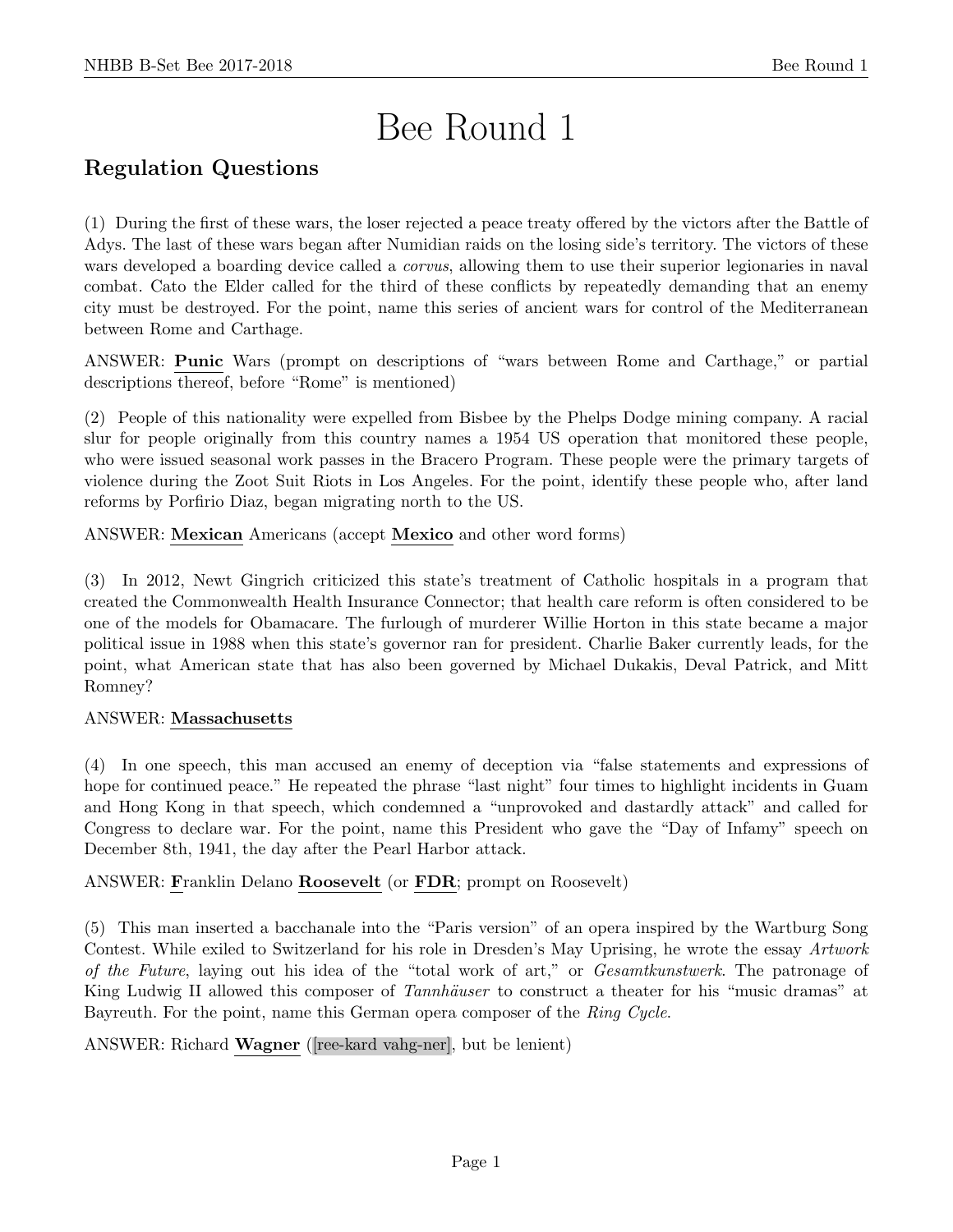# Bee Round 1

# Regulation Questions

(1) During the first of these wars, the loser rejected a peace treaty offered by the victors after the Battle of Adys. The last of these wars began after Numidian raids on the losing side's territory. The victors of these wars developed a boarding device called a *corvus*, allowing them to use their superior legionaries in naval combat. Cato the Elder called for the third of these conflicts by repeatedly demanding that an enemy city must be destroyed. For the point, name this series of ancient wars for control of the Mediterranean between Rome and Carthage.

ANSWER: Punic Wars (prompt on descriptions of "wars between Rome and Carthage," or partial descriptions thereof, before "Rome" is mentioned)

(2) People of this nationality were expelled from Bisbee by the Phelps Dodge mining company. A racial slur for people originally from this country names a 1954 US operation that monitored these people, who were issued seasonal work passes in the Bracero Program. These people were the primary targets of violence during the Zoot Suit Riots in Los Angeles. For the point, identify these people who, after land reforms by Porfirio Diaz, began migrating north to the US.

ANSWER: Mexican Americans (accept Mexico and other word forms)

(3) In 2012, Newt Gingrich criticized this state's treatment of Catholic hospitals in a program that created the Commonwealth Health Insurance Connector; that health care reform is often considered to be one of the models for Obamacare. The furlough of murderer Willie Horton in this state became a major political issue in 1988 when this state's governor ran for president. Charlie Baker currently leads, for the point, what American state that has also been governed by Michael Dukakis, Deval Patrick, and Mitt Romney?

# ANSWER: Massachusetts

(4) In one speech, this man accused an enemy of deception via "false statements and expressions of hope for continued peace." He repeated the phrase "last night" four times to highlight incidents in Guam and Hong Kong in that speech, which condemned a "unprovoked and dastardly attack" and called for Congress to declare war. For the point, name this President who gave the "Day of Infamy" speech on December 8th, 1941, the day after the Pearl Harbor attack.

ANSWER: Franklin Delano Roosevelt (or FDR; prompt on Roosevelt)

(5) This man inserted a bacchanale into the "Paris version" of an opera inspired by the Wartburg Song Contest. While exiled to Switzerland for his role in Dresden's May Uprising, he wrote the essay Artwork of the Future, laying out his idea of the "total work of art," or Gesamtkunstwerk. The patronage of King Ludwig II allowed this composer of Tannhäuser to construct a theater for his "music dramas" at Bayreuth. For the point, name this German opera composer of the Ring Cycle.

ANSWER: Richard Wagner ([ree-kard vahg-ner], but be lenient)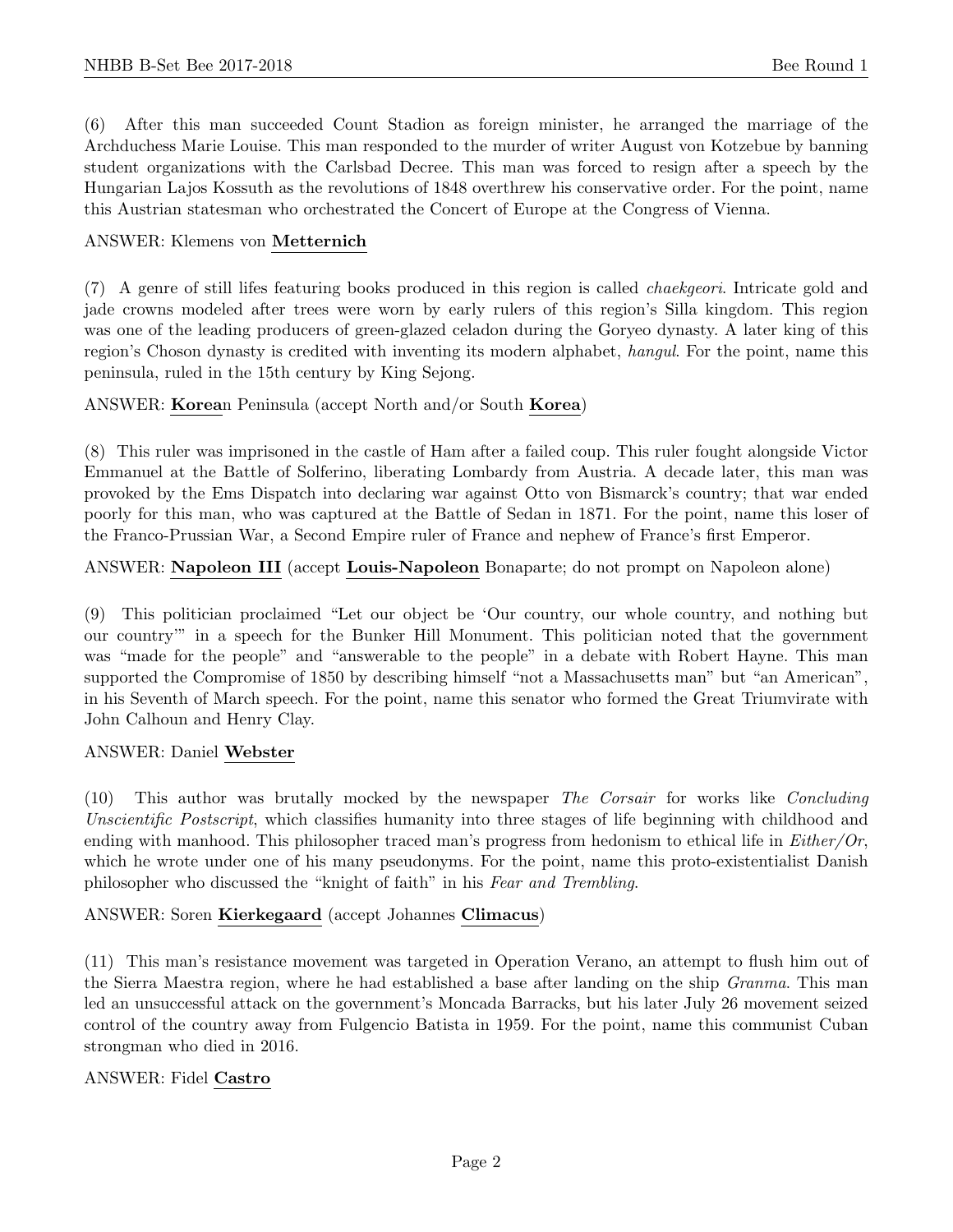(6) After this man succeeded Count Stadion as foreign minister, he arranged the marriage of the Archduchess Marie Louise. This man responded to the murder of writer August von Kotzebue by banning student organizations with the Carlsbad Decree. This man was forced to resign after a speech by the Hungarian Lajos Kossuth as the revolutions of 1848 overthrew his conservative order. For the point, name this Austrian statesman who orchestrated the Concert of Europe at the Congress of Vienna.

## ANSWER: Klemens von Metternich

(7) A genre of still lifes featuring books produced in this region is called chaekgeori. Intricate gold and jade crowns modeled after trees were worn by early rulers of this region's Silla kingdom. This region was one of the leading producers of green-glazed celadon during the Goryeo dynasty. A later king of this region's Choson dynasty is credited with inventing its modern alphabet, hangul. For the point, name this peninsula, ruled in the 15th century by King Sejong.

# ANSWER: Korean Peninsula (accept North and/or South Korea)

(8) This ruler was imprisoned in the castle of Ham after a failed coup. This ruler fought alongside Victor Emmanuel at the Battle of Solferino, liberating Lombardy from Austria. A decade later, this man was provoked by the Ems Dispatch into declaring war against Otto von Bismarck's country; that war ended poorly for this man, who was captured at the Battle of Sedan in 1871. For the point, name this loser of the Franco-Prussian War, a Second Empire ruler of France and nephew of France's first Emperor.

# ANSWER: Napoleon III (accept Louis-Napoleon Bonaparte; do not prompt on Napoleon alone)

(9) This politician proclaimed "Let our object be 'Our country, our whole country, and nothing but our country'" in a speech for the Bunker Hill Monument. This politician noted that the government was "made for the people" and "answerable to the people" in a debate with Robert Hayne. This man supported the Compromise of 1850 by describing himself "not a Massachusetts man" but "an American", in his Seventh of March speech. For the point, name this senator who formed the Great Triumvirate with John Calhoun and Henry Clay.

#### ANSWER: Daniel Webster

(10) This author was brutally mocked by the newspaper The Corsair for works like Concluding Unscientific Postscript, which classifies humanity into three stages of life beginning with childhood and ending with manhood. This philosopher traced man's progress from hedonism to ethical life in  $Either/Or$ , which he wrote under one of his many pseudonyms. For the point, name this proto-existentialist Danish philosopher who discussed the "knight of faith" in his Fear and Trembling.

# ANSWER: Soren Kierkegaard (accept Johannes Climacus)

(11) This man's resistance movement was targeted in Operation Verano, an attempt to flush him out of the Sierra Maestra region, where he had established a base after landing on the ship Granma. This man led an unsuccessful attack on the government's Moncada Barracks, but his later July 26 movement seized control of the country away from Fulgencio Batista in 1959. For the point, name this communist Cuban strongman who died in 2016.

#### ANSWER: Fidel Castro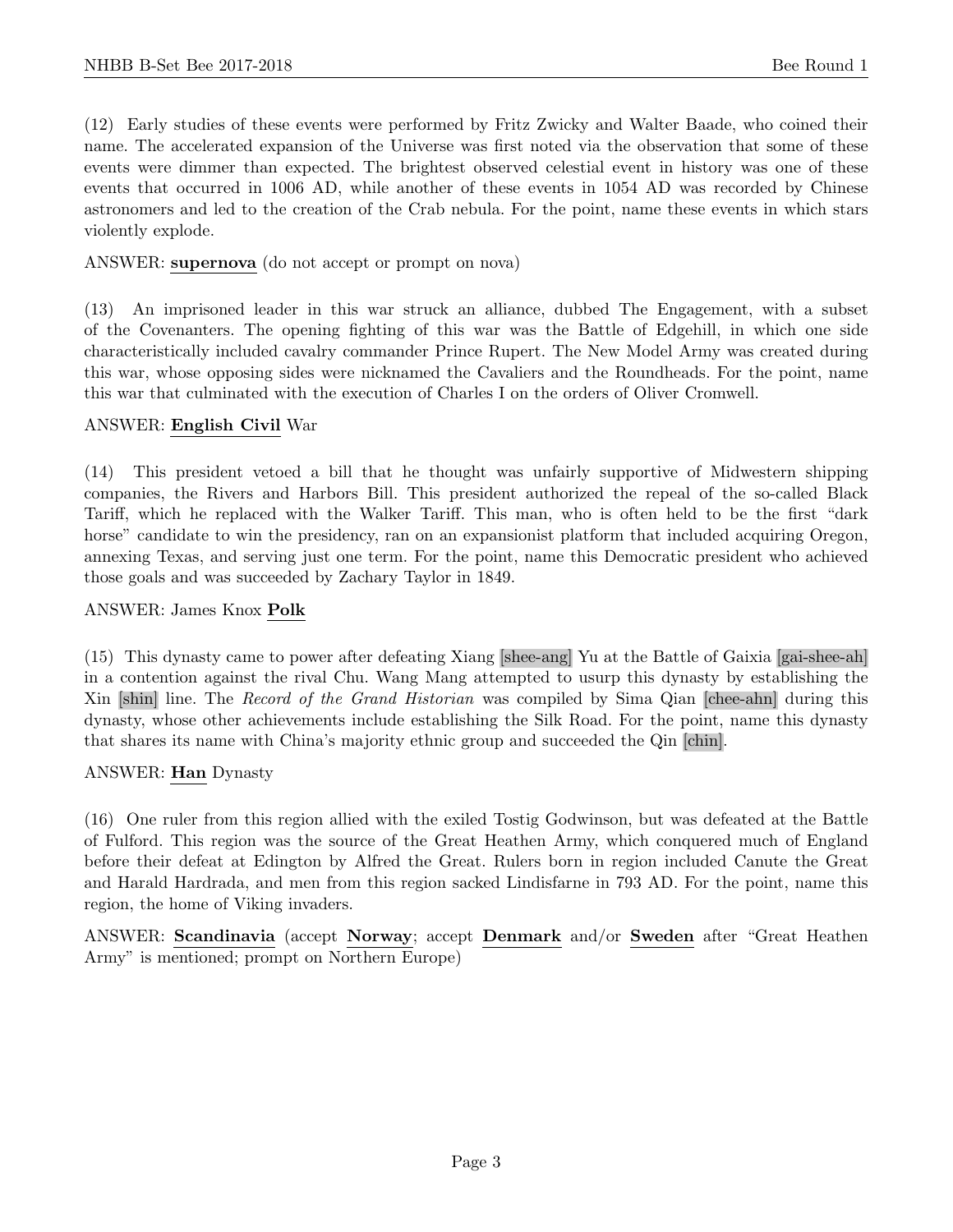(12) Early studies of these events were performed by Fritz Zwicky and Walter Baade, who coined their name. The accelerated expansion of the Universe was first noted via the observation that some of these events were dimmer than expected. The brightest observed celestial event in history was one of these events that occurred in 1006 AD, while another of these events in 1054 AD was recorded by Chinese astronomers and led to the creation of the Crab nebula. For the point, name these events in which stars violently explode.

ANSWER: supernova (do not accept or prompt on nova)

(13) An imprisoned leader in this war struck an alliance, dubbed The Engagement, with a subset of the Covenanters. The opening fighting of this war was the Battle of Edgehill, in which one side characteristically included cavalry commander Prince Rupert. The New Model Army was created during this war, whose opposing sides were nicknamed the Cavaliers and the Roundheads. For the point, name this war that culminated with the execution of Charles I on the orders of Oliver Cromwell.

#### ANSWER: English Civil War

(14) This president vetoed a bill that he thought was unfairly supportive of Midwestern shipping companies, the Rivers and Harbors Bill. This president authorized the repeal of the so-called Black Tariff, which he replaced with the Walker Tariff. This man, who is often held to be the first "dark horse" candidate to win the presidency, ran on an expansionist platform that included acquiring Oregon, annexing Texas, and serving just one term. For the point, name this Democratic president who achieved those goals and was succeeded by Zachary Taylor in 1849.

## ANSWER: James Knox Polk

(15) This dynasty came to power after defeating Xiang [shee-ang] Yu at the Battle of Gaixia [gai-shee-ah] in a contention against the rival Chu. Wang Mang attempted to usurp this dynasty by establishing the Xin [shin] line. The Record of the Grand Historian was compiled by Sima Qian [chee-ahn] during this dynasty, whose other achievements include establishing the Silk Road. For the point, name this dynasty that shares its name with China's majority ethnic group and succeeded the Qin [chin].

#### ANSWER: Han Dynasty

(16) One ruler from this region allied with the exiled Tostig Godwinson, but was defeated at the Battle of Fulford. This region was the source of the Great Heathen Army, which conquered much of England before their defeat at Edington by Alfred the Great. Rulers born in region included Canute the Great and Harald Hardrada, and men from this region sacked Lindisfarne in 793 AD. For the point, name this region, the home of Viking invaders.

ANSWER: Scandinavia (accept Norway; accept Denmark and/or Sweden after "Great Heathen Army" is mentioned; prompt on Northern Europe)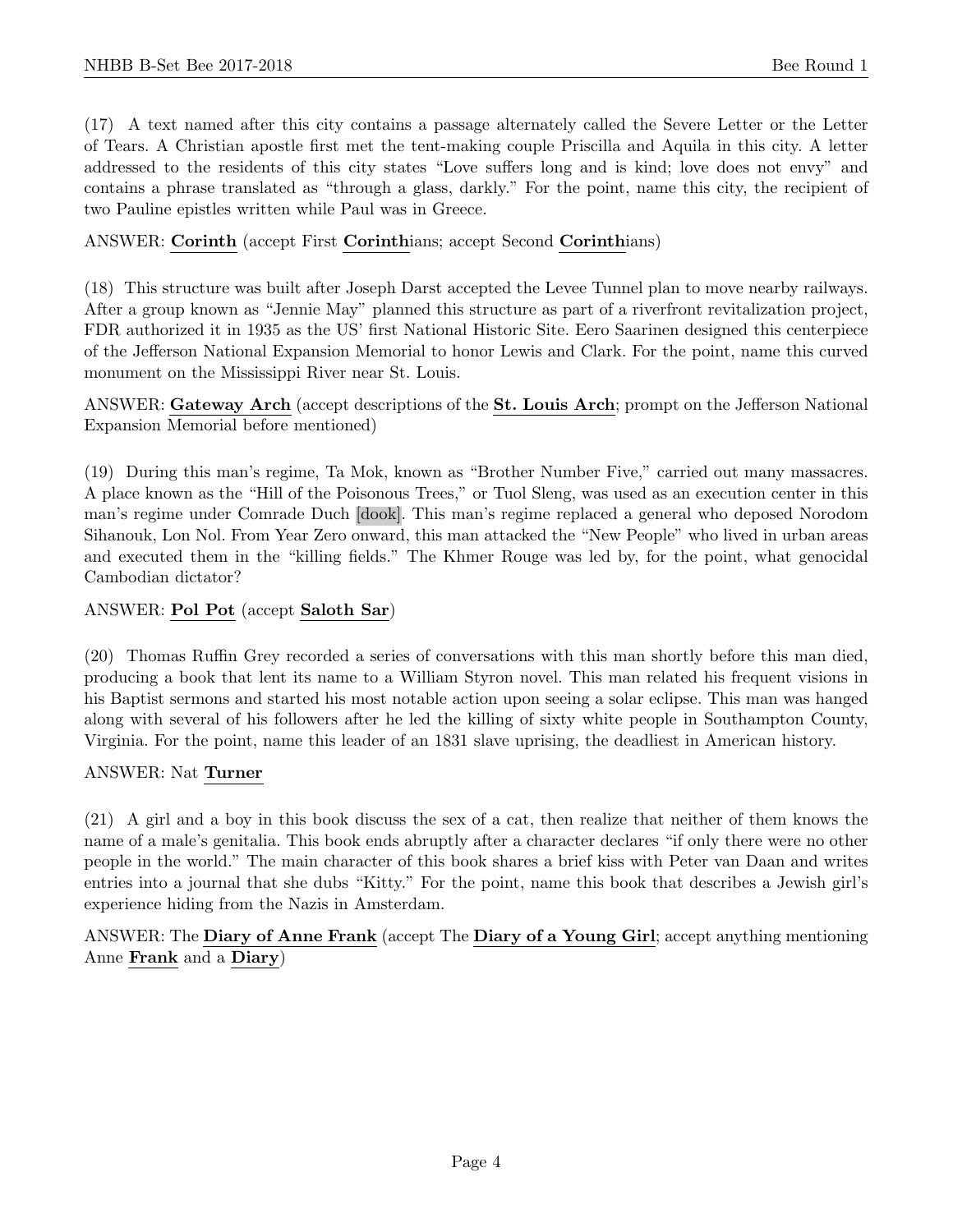(17) A text named after this city contains a passage alternately called the Severe Letter or the Letter of Tears. A Christian apostle first met the tent-making couple Priscilla and Aquila in this city. A letter addressed to the residents of this city states "Love suffers long and is kind; love does not envy" and contains a phrase translated as "through a glass, darkly." For the point, name this city, the recipient of two Pauline epistles written while Paul was in Greece.

# ANSWER: Corinth (accept First Corinthians; accept Second Corinthians)

(18) This structure was built after Joseph Darst accepted the Levee Tunnel plan to move nearby railways. After a group known as "Jennie May" planned this structure as part of a riverfront revitalization project, FDR authorized it in 1935 as the US' first National Historic Site. Eero Saarinen designed this centerpiece of the Jefferson National Expansion Memorial to honor Lewis and Clark. For the point, name this curved monument on the Mississippi River near St. Louis.

ANSWER: Gateway Arch (accept descriptions of the St. Louis Arch; prompt on the Jefferson National Expansion Memorial before mentioned)

(19) During this man's regime, Ta Mok, known as "Brother Number Five," carried out many massacres. A place known as the "Hill of the Poisonous Trees," or Tuol Sleng, was used as an execution center in this man's regime under Comrade Duch [dook]. This man's regime replaced a general who deposed Norodom Sihanouk, Lon Nol. From Year Zero onward, this man attacked the "New People" who lived in urban areas and executed them in the "killing fields." The Khmer Rouge was led by, for the point, what genocidal Cambodian dictator?

# ANSWER: Pol Pot (accept Saloth Sar)

(20) Thomas Ruffin Grey recorded a series of conversations with this man shortly before this man died, producing a book that lent its name to a William Styron novel. This man related his frequent visions in his Baptist sermons and started his most notable action upon seeing a solar eclipse. This man was hanged along with several of his followers after he led the killing of sixty white people in Southampton County, Virginia. For the point, name this leader of an 1831 slave uprising, the deadliest in American history.

#### ANSWER: Nat Turner

(21) A girl and a boy in this book discuss the sex of a cat, then realize that neither of them knows the name of a male's genitalia. This book ends abruptly after a character declares "if only there were no other people in the world." The main character of this book shares a brief kiss with Peter van Daan and writes entries into a journal that she dubs "Kitty." For the point, name this book that describes a Jewish girl's experience hiding from the Nazis in Amsterdam.

ANSWER: The Diary of Anne Frank (accept The Diary of a Young Girl; accept anything mentioning Anne Frank and a Diary)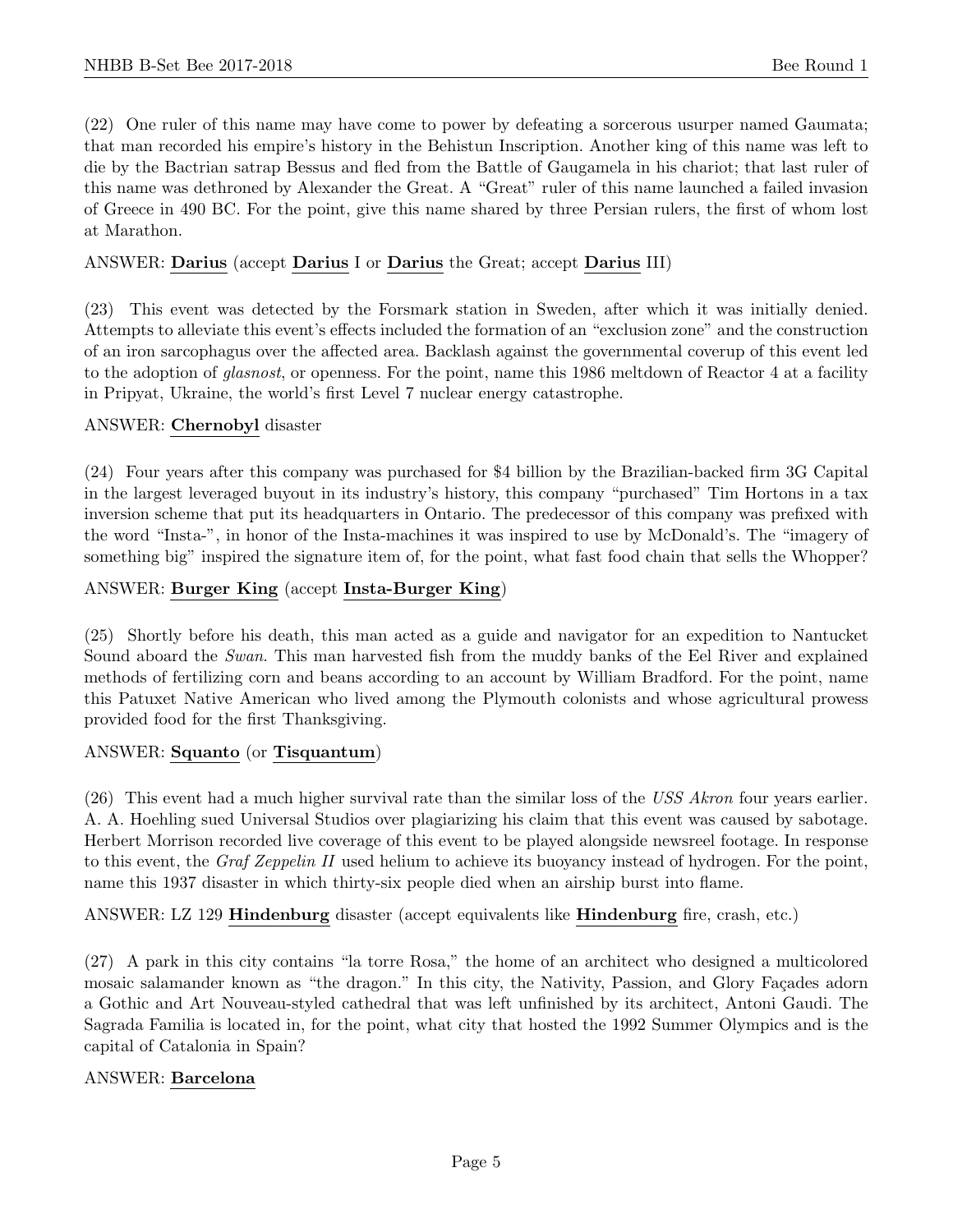(22) One ruler of this name may have come to power by defeating a sorcerous usurper named Gaumata; that man recorded his empire's history in the Behistun Inscription. Another king of this name was left to die by the Bactrian satrap Bessus and fled from the Battle of Gaugamela in his chariot; that last ruler of this name was dethroned by Alexander the Great. A "Great" ruler of this name launched a failed invasion of Greece in 490 BC. For the point, give this name shared by three Persian rulers, the first of whom lost at Marathon.

# ANSWER: Darius (accept Darius I or Darius the Great; accept Darius III)

(23) This event was detected by the Forsmark station in Sweden, after which it was initially denied. Attempts to alleviate this event's effects included the formation of an "exclusion zone" and the construction of an iron sarcophagus over the affected area. Backlash against the governmental coverup of this event led to the adoption of glasnost, or openness. For the point, name this 1986 meltdown of Reactor 4 at a facility in Pripyat, Ukraine, the world's first Level 7 nuclear energy catastrophe.

#### ANSWER: Chernobyl disaster

(24) Four years after this company was purchased for \$4 billion by the Brazilian-backed firm 3G Capital in the largest leveraged buyout in its industry's history, this company "purchased" Tim Hortons in a tax inversion scheme that put its headquarters in Ontario. The predecessor of this company was prefixed with the word "Insta-", in honor of the Insta-machines it was inspired to use by McDonald's. The "imagery of something big" inspired the signature item of, for the point, what fast food chain that sells the Whopper?

# ANSWER: Burger King (accept Insta-Burger King)

(25) Shortly before his death, this man acted as a guide and navigator for an expedition to Nantucket Sound aboard the Swan. This man harvested fish from the muddy banks of the Eel River and explained methods of fertilizing corn and beans according to an account by William Bradford. For the point, name this Patuxet Native American who lived among the Plymouth colonists and whose agricultural prowess provided food for the first Thanksgiving.

#### ANSWER: Squanto (or Tisquantum)

(26) This event had a much higher survival rate than the similar loss of the USS Akron four years earlier. A. A. Hoehling sued Universal Studios over plagiarizing his claim that this event was caused by sabotage. Herbert Morrison recorded live coverage of this event to be played alongside newsreel footage. In response to this event, the Graf Zeppelin II used helium to achieve its buoyancy instead of hydrogen. For the point, name this 1937 disaster in which thirty-six people died when an airship burst into flame.

ANSWER: LZ 129 Hindenburg disaster (accept equivalents like Hindenburg fire, crash, etc.)

(27) A park in this city contains "la torre Rosa," the home of an architect who designed a multicolored mosaic salamander known as "the dragon." In this city, the Nativity, Passion, and Glory Façades adorn a Gothic and Art Nouveau-styled cathedral that was left unfinished by its architect, Antoni Gaudi. The Sagrada Familia is located in, for the point, what city that hosted the 1992 Summer Olympics and is the capital of Catalonia in Spain?

# ANSWER: Barcelona